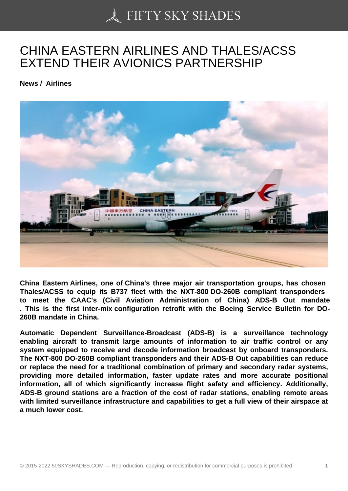## [CHINA EASTERN AIR](https://50skyshades.com)LINES AND THALES/ACSS EXTEND THEIR AVIONICS PARTNERSHIP

News / Airlines

China Eastern Airlines , one of China's three major air transportation groups, has chosen Thales/ACSS to equip its B737 fleet with the NXT-800 DO-260B compliant transponders to meet the CAAC's (Civil Aviation Administration of China) ADS-B Out mandate . This is the first inter-mix configuration retrofit with the Boeing Service Bulletin for DO-260B mandate in China.

Automatic Dependent Surveillance-Broadcast (ADS-B) is a surveillance technology enabling aircraft to transmit large amounts of information to air traffic control or any system equipped to receive and decode information broadcast by onboard transponders. The NXT-800 DO-260B compliant transponders and their ADS-B Out capabilities can reduce or replace the need for a traditional combination of primary and secondary radar systems, providing more detailed information, faster update rates and more accurate positional information, all of which significantly increase flight safety and efficiency. Additionally, ADS-B ground stations are a fraction of the cost of radar stations, enabling remote areas with limited surveillance infrastructure and capabilities to get a full view of their airspace at a much lower cost.